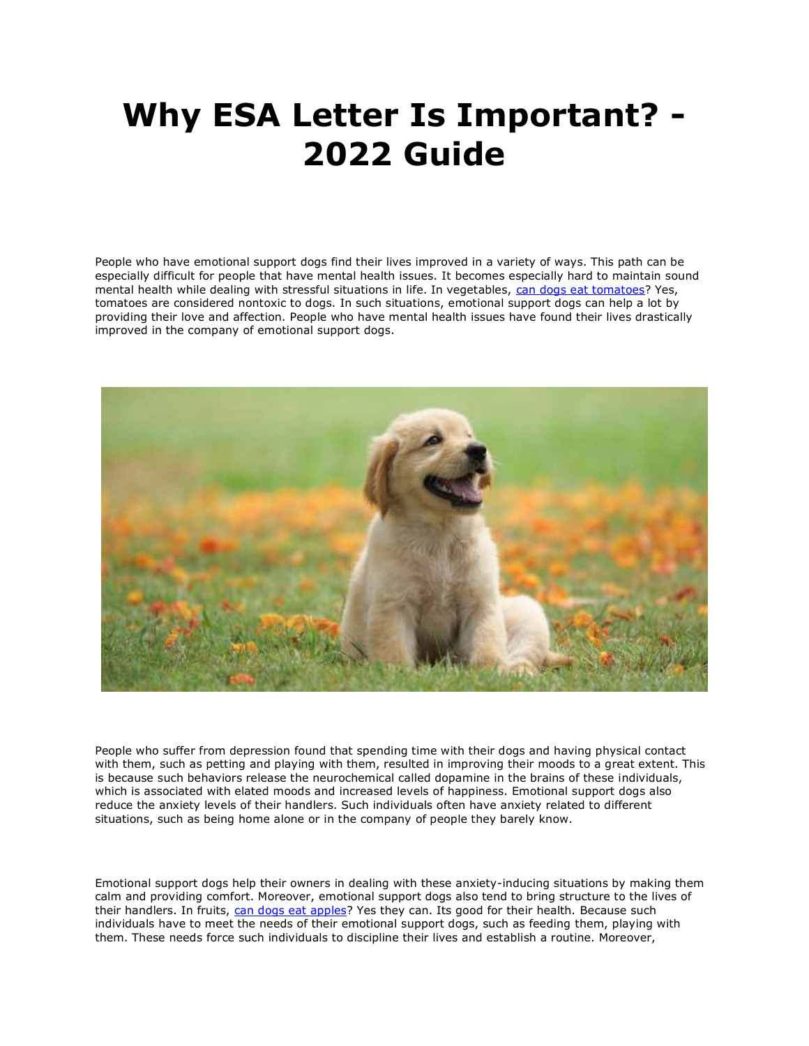## **Why ESA Letter Is Important? - 2022 Guide**

People who have emotional support dogs find their lives improved in a variety of ways. This path can be especially difficult for people that have mental health issues. It becomes especially hard to maintain sound mental health while dealing with stressful situations in life. In vegetables, [can dogs eat tomatoes?](https://www.realesaletter.com/blog/can-dogs-eat-tomatoes) Yes, tomatoes are considered nontoxic to dogs. In such situations, emotional support dogs can help a lot by providing their love and affection. People who have mental health issues have found their lives drastically improved in the company of emotional support dogs.



People who suffer from depression found that spending time with their dogs and having physical contact with them, such as petting and playing with them, resulted in improving their moods to a great extent. This is because such behaviors release the neurochemical called dopamine in the brains of these individuals, which is associated with elated moods and increased levels of happiness. Emotional support dogs also reduce the anxiety levels of their handlers. Such individuals often have anxiety related to different situations, such as being home alone or in the company of people they barely know.

Emotional support dogs help their owners in dealing with these anxiety-inducing situations by making them calm and providing comfort. Moreover, emotional support dogs also tend to bring structure to the lives of their handlers. In fruits, [can dogs eat apples?](https://www.realesaletter.com/blog/can-dogs-eat-apples) Yes they can. Its good for their health. Because such individuals have to meet the needs of their emotional support dogs, such as feeding them, playing with them. These needs force such individuals to discipline their lives and establish a routine. Moreover,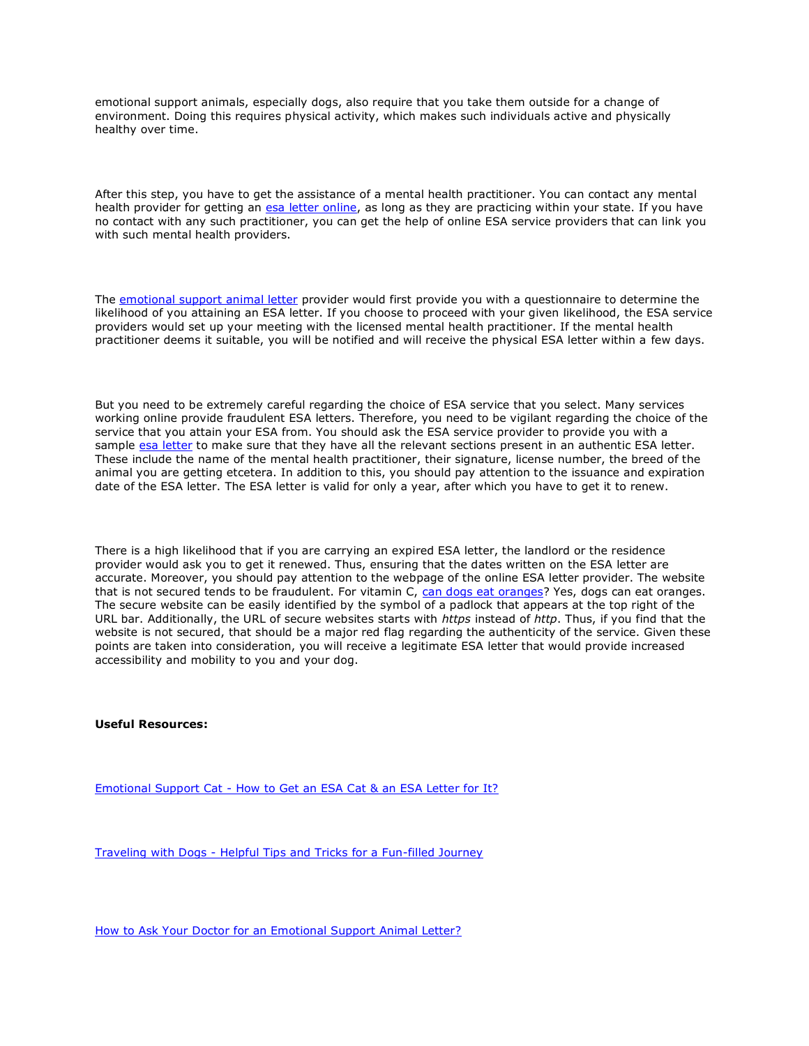emotional support animals, especially dogs, also require that you take them outside for a change of environment. Doing this requires physical activity, which makes such individuals active and physically healthy over time.

After this step, you have to get the assistance of a mental health practitioner. You can contact any mental health provider for getting an [esa letter online,](https://www.realesaletter.com/sample-esa-letter) as long as they are practicing within your state. If you have no contact with any such practitioner, you can get the help of online ESA service providers that can link you with such mental health providers.

The [emotional support animal letter](https://myesaletter.net/) provider would first provide you with a questionnaire to determine the likelihood of you attaining an ESA letter. If you choose to proceed with your given likelihood, the ESA service providers would set up your meeting with the licensed mental health practitioner. If the mental health practitioner deems it suitable, you will be notified and will receive the physical ESA letter within a few days.

But you need to be extremely careful regarding the choice of ESA service that you select. Many services working online provide fraudulent ESA letters. Therefore, you need to be vigilant regarding the choice of the service that you attain your ESA from. You should ask the ESA service provider to provide you with a sample [esa letter](https://www.realesaletter.com/sample-esa-letter) to make sure that they have all the relevant sections present in an authentic ESA letter. These include the name of the mental health practitioner, their signature, license number, the breed of the animal you are getting etcetera. In addition to this, you should pay attention to the issuance and expiration date of the ESA letter. The ESA letter is valid for only a year, after which you have to get it to renew.

There is a high likelihood that if you are carrying an expired ESA letter, the landlord or the residence provider would ask you to get it renewed. Thus, ensuring that the dates written on the ESA letter are accurate. Moreover, you should pay attention to the webpage of the online ESA letter provider. The website that is not secured tends to be fraudulent. For vitamin C, [can dogs eat oranges?](https://www.realesaletter.com/blog/can-dogs-eat-oranges) Yes, dogs can eat oranges. The secure website can be easily identified by the symbol of a padlock that appears at the top right of the URL bar. Additionally, the URL of secure websites starts with *https* instead of *http*. Thus, if you find that the website is not secured, that should be a major red flag regarding the authenticity of the service. Given these points are taken into consideration, you will receive a legitimate ESA letter that would provide increased accessibility and mobility to you and your dog.

**Useful Resources:**

Emotional Support Cat - [How to Get an ESA Cat & an ESA Letter for It?](https://myesaletter.net/blog/emotional-support-cat)

Traveling with Dogs - [Helpful Tips and Tricks for a Fun-filled Journey](https://myesaletter.net/blog/traveling-with-dogs)

[How to Ask Your Doctor for an Emotional Support Animal Letter?](https://myesaletter.net/blog/how-to-ask-your-doctor-for-an-emotional-support-animal)